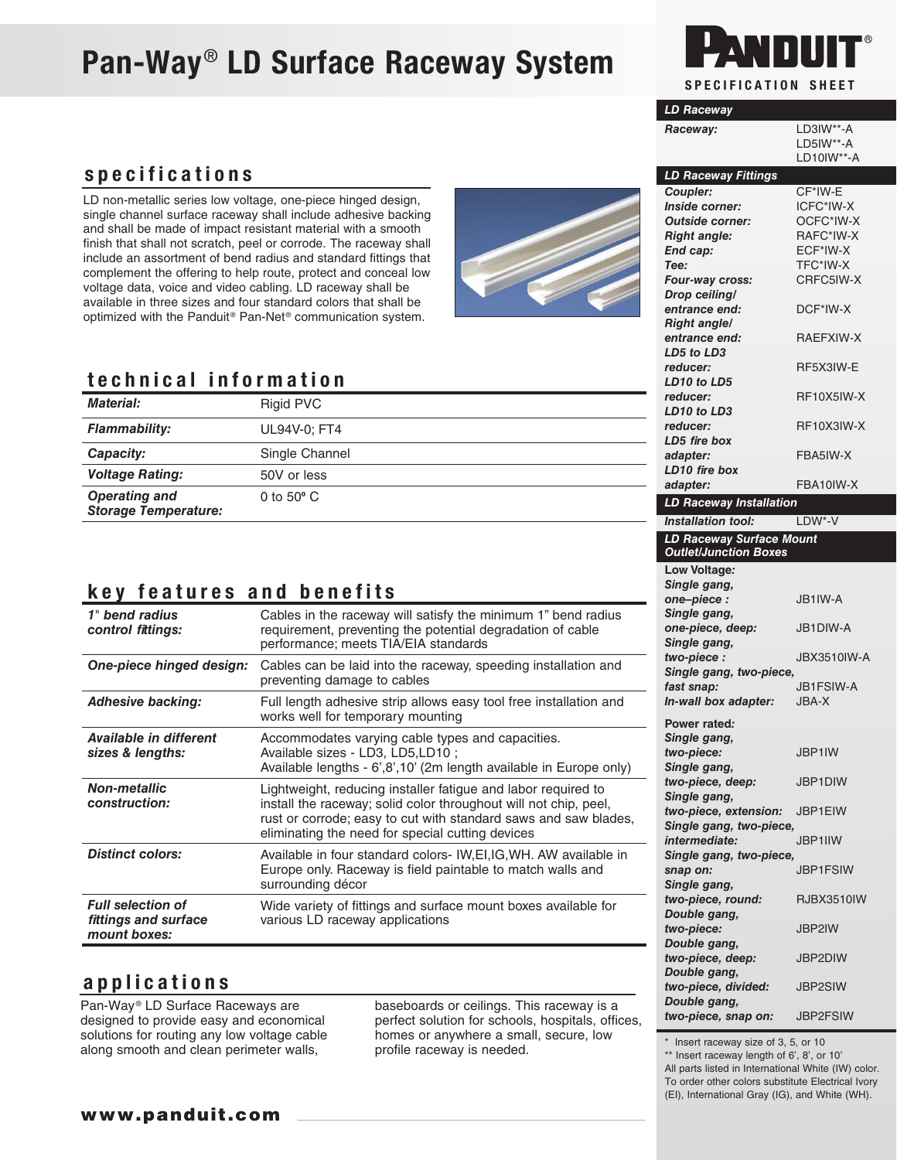# Pan-Way® LD Surface Raceway System



| <b>LD Raceway</b>                   |                           |
|-------------------------------------|---------------------------|
| Raceway:                            | LD3IW**-A                 |
|                                     | LD5IW**-A                 |
|                                     | $LD10IW**-A$              |
| <b>LD Raceway Fittings</b>          |                           |
| Coupler:                            | CF*IW-E                   |
| Inside corner:                      | ICFC*IW-X                 |
| <b>Outside corner:</b>              | OCFC*IW-X                 |
| <b>Right angle:</b>                 | RAFC*IW-X                 |
| End cap:<br>Tee:                    | ECF*IW-X<br>TFC*IW-X      |
| Four-way cross:                     | CRFC5IW-X                 |
| Drop ceiling/                       |                           |
| entrance end:                       | DCF*IW-X                  |
| <b>Right angle/</b>                 |                           |
| entrance end:                       | RAEFXIW-X                 |
| LD5 to LD3                          |                           |
| reducer:                            | RF5X3IW-E                 |
| LD10 to LD5<br>reducer:             | RF10X5IW-X                |
| LD10 to LD3                         |                           |
| reducer:                            | RF10X3IW-X                |
| LD5 fire box                        |                           |
| adapter:                            | FBA5IW-X                  |
| LD10 fire box                       |                           |
| adapter:                            | FBA10IW-X                 |
| LD Raceway Installation             |                           |
| <b>Installation tool:</b>           | LDW*-V                    |
| LD Raceway Surface Mount            |                           |
| <b>Outlet/Junction Boxes</b>        |                           |
| Low Voltage:                        |                           |
| Single gang,<br>one-piece :         | JB1IW-A                   |
| Single gang,                        |                           |
| one-piece, deep:                    | JB1DIW-A                  |
| Single gang,                        |                           |
| two-piece:                          | JBX3510IW-A               |
| Single gang, two-piece,             |                           |
| fast snap:                          | <b>JB1FSIW-A</b><br>JBA-X |
| In-wall box adapter:                |                           |
| Power rated:                        |                           |
| Single gang,                        | JBP1IW                    |
| two-piece:<br>Single gang,          |                           |
| two-piece, deep:                    | JBP1DIW                   |
| Single gang,                        |                           |
| two-piece, extension:               | JBP1EIW                   |
| Single gang, two-piece,             |                           |
| intermediate:                       | JBP1IIW                   |
| Single gang, two-piece,<br>snap on: | <b>JBP1FSIW</b>           |
| Single gang,                        |                           |
| two-piece, round:                   | <b>RJBX3510IW</b>         |
| Double gang,                        |                           |
| two-piece:                          | JBP2IW                    |
| Double gang,                        |                           |
| two-piece, deep:<br>Double gang,    | JBP2DIW                   |
| two-piece, divided:                 | <b>JBP2SIW</b>            |
| Double gang,                        |                           |
| two-piece, snap on:                 | <b>JBP2FSIW</b>           |

\* Insert raceway size of 3, 5, or 10

\*\* Insert raceway length of 6', 8', or 10'

All parts listed in International White (IW) color.

To order other colors substitute Electrical Ivory (EI), International Gray (IG), and White (WH).

#### specifications

LD non-metallic series low voltage, one-piece hinged design, single channel surface raceway shall include adhesive backing and shall be made of impact resistant material with a smooth finish that shall not scratch, peel or corrode. The raceway shall include an assortment of bend radius and standard fittings that complement the offering to help route, protect and conceal low voltage data, voice and video cabling. LD raceway shall be available in three sizes and four standard colors that shall be optimized with the Panduit® Pan-Net® communication system.

#### technical information

| <b>Material:</b>                                    | Rigid PVC           | reducer:<br>LD10 to LD.  |
|-----------------------------------------------------|---------------------|--------------------------|
| <b>Flammability:</b>                                | UL94V-0; FT4        | reducer:<br>LD5 fire bo. |
| Capacity:                                           | Single Channel      | adapter:                 |
| <b>Voltage Rating:</b>                              | 50V or less         | LD10 fire be<br>adapter: |
| <b>Operating and</b><br><b>Storage Temperature:</b> | 0 to $50^{\circ}$ C | <b>LD Racewa</b>         |
|                                                     |                     | <b>Installation</b>      |

#### key features and benefits

| 1" bend radius<br>control fittings:                              | Cables in the raceway will satisfy the minimum 1" bend radius<br>requirement, preventing the potential degradation of cable<br>performance; meets TIA/EIA standards                                                                                      |
|------------------------------------------------------------------|----------------------------------------------------------------------------------------------------------------------------------------------------------------------------------------------------------------------------------------------------------|
| One-piece hinged design:                                         | Cables can be laid into the raceway, speeding installation and<br>preventing damage to cables                                                                                                                                                            |
| <b>Adhesive backing:</b>                                         | Full length adhesive strip allows easy tool free installation and<br>works well for temporary mounting                                                                                                                                                   |
| Available in different<br>sizes & lengths:                       | Accommodates varying cable types and capacities.<br>Available sizes - LD3, LD5, LD10 ;<br>Available lengths - 6'.8', 10' (2m length available in Europe only)                                                                                            |
| <b>Non-metallic</b><br>construction:                             | Lightweight, reducing installer fatigue and labor required to<br>install the raceway; solid color throughout will not chip, peel,<br>rust or corrode; easy to cut with standard saws and saw blades,<br>eliminating the need for special cutting devices |
| <b>Distinct colors:</b>                                          | Available in four standard colors- IW, EI, IG, WH. AW available in<br>Europe only. Raceway is field paintable to match walls and<br>surrounding décor                                                                                                    |
| <b>Full selection of</b><br>fittings and surface<br>mount boxes: | Wide variety of fittings and surface mount boxes available for<br>various LD raceway applications                                                                                                                                                        |

#### applications

Pan-Way<sup>®</sup> LD Surface Raceways are designed to provide easy and economical solutions for routing any low voltage cable along smooth and clean perimeter walls,

baseboards or ceilings. This raceway is a perfect solution for schools, hospitals, offices, homes or anywhere a small, secure, low profile raceway is needed.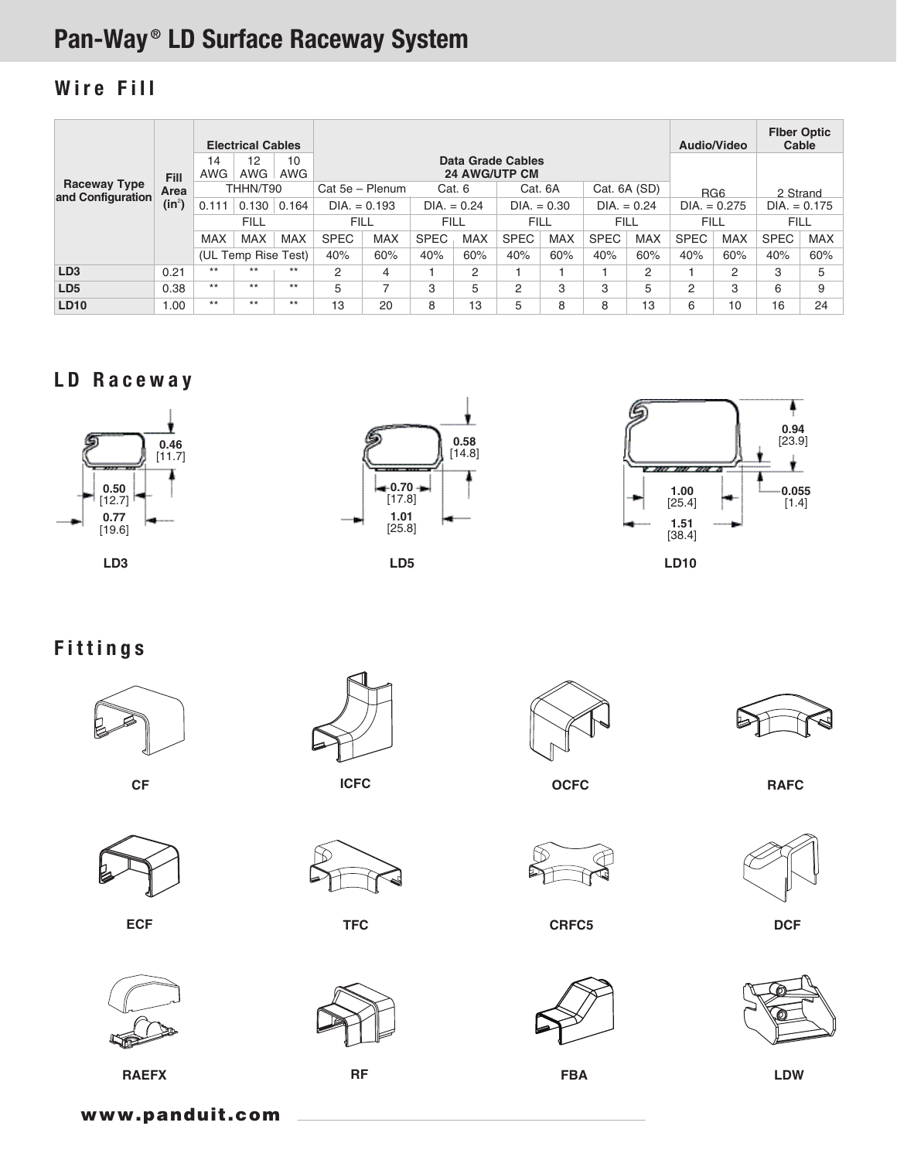# Pan-Way ® LD Surface Raceway System

## Wire Fill

|                                          |                     | <b>Electrical Cables</b> |            |                 |                                           |                                                                   |             |             |                |              |                |                 | Audio/Video |             | <b>Fiber Optic</b><br>Cable |            |
|------------------------------------------|---------------------|--------------------------|------------|-----------------|-------------------------------------------|-------------------------------------------------------------------|-------------|-------------|----------------|--------------|----------------|-----------------|-------------|-------------|-----------------------------|------------|
|                                          | <b>Fill</b><br>Area | 14<br><b>AWG</b>         | 12<br>AWG  | 10<br>AWG       | Data Grade Cables<br><b>24 AWG/UTP CM</b> |                                                                   |             |             |                |              |                |                 |             |             |                             |            |
| <b>Raceway Type</b><br>and Configuration |                     | THHN/T90                 |            | Cat 5e - Plenum |                                           | Cat. 6                                                            |             | Cat. 6A     |                | Cat. 6A (SD) |                | RG <sub>6</sub> |             | 2 Strand    |                             |            |
|                                          | $(in^2)$            | 0.111                    | 0.130      | 0.164           |                                           | $DIA. = 0.193$<br>$DIA. = 0.24$<br>$DIA. = 0.24$<br>$DIA. = 0.30$ |             |             | $DIA. = 0.275$ |              | $DIA. = 0.175$ |                 |             |             |                             |            |
|                                          |                     | <b>FILL</b>              |            | <b>FILL</b>     |                                           | <b>FILL</b>                                                       |             | <b>FILL</b> |                | <b>FILL</b>  |                | <b>FILL</b>     |             | <b>FILL</b> |                             |            |
|                                          |                     | MAX                      | <b>MAX</b> | <b>MAX</b>      | <b>SPEC</b>                               | <b>MAX</b>                                                        | <b>SPEC</b> | <b>MAX</b>  | <b>SPEC</b>    | <b>MAX</b>   | <b>SPEC</b>    | <b>MAX</b>      | <b>SPEC</b> | <b>MAX</b>  | <b>SPEC</b>                 | <b>MAX</b> |
|                                          |                     | (UL Temp Rise Test)      |            | 40%             | 60%                                       | 40%                                                               | 60%         | 40%         | 60%            | 40%          | 60%            | 40%             | 60%         | 40%         | 60%                         |            |
| LD <sub>3</sub>                          | 0.21                | $***$                    | $***$      | $***$           | 2                                         | 4                                                                 |             | 2           |                |              |                | 2               |             | 2           | 3                           | 5          |
| LD <sub>5</sub>                          | 0.38                | $***$                    | $***$      | $***$           | 5                                         | ⇁                                                                 | 3           | 5           | 2              | 3            | 3              | 5               | 2           | 3           | 6                           | 9          |
| <b>LD10</b>                              | 00.1                | $***$                    | $***$      | $***$           | 13                                        | 20                                                                | 8           | 13          | 5              | 8            | 8              | 13              | 6           | 10          | 16                          | 24         |

#### LD Raceway





**LD5**



Fittings

















**ECF TFC CRFC5 DCF**







**RAEFX RF FBA LDW**

www.panduit.com